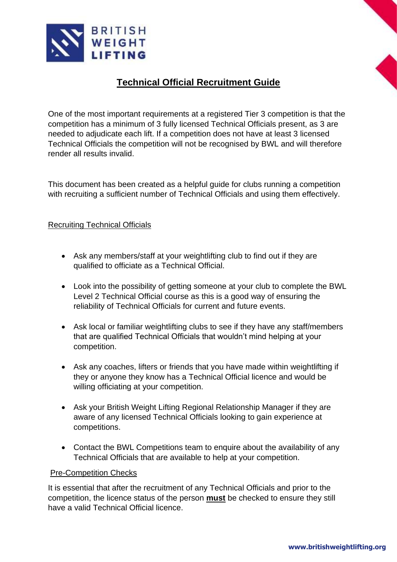

## **Technical Official Recruitment Guide**

One of the most important requirements at a registered Tier 3 competition is that the competition has a minimum of 3 fully licensed Technical Officials present, as 3 are needed to adjudicate each lift. If a competition does not have at least 3 licensed Technical Officials the competition will not be recognised by BWL and will therefore render all results invalid.

This document has been created as a helpful guide for clubs running a competition with recruiting a sufficient number of Technical Officials and using them effectively.

## Recruiting Technical Officials

- Ask any members/staff at your weightlifting club to find out if they are qualified to officiate as a Technical Official.
- Look into the possibility of getting someone at your club to complete the BWL Level 2 Technical Official course as this is a good way of ensuring the reliability of Technical Officials for current and future events.
- Ask local or familiar weightlifting clubs to see if they have any staff/members that are qualified Technical Officials that wouldn't mind helping at your competition.
- Ask any coaches, lifters or friends that you have made within weightlifting if they or anyone they know has a Technical Official licence and would be willing officiating at your competition.
- Ask your British Weight Lifting Regional Relationship Manager if they are aware of any licensed Technical Officials looking to gain experience at competitions.
- Contact the BWL Competitions team to enquire about the availability of any Technical Officials that are available to help at your competition.

## Pre-Competition Checks

It is essential that after the recruitment of any Technical Officials and prior to the competition, the licence status of the person **must** be checked to ensure they still have a valid Technical Official licence.